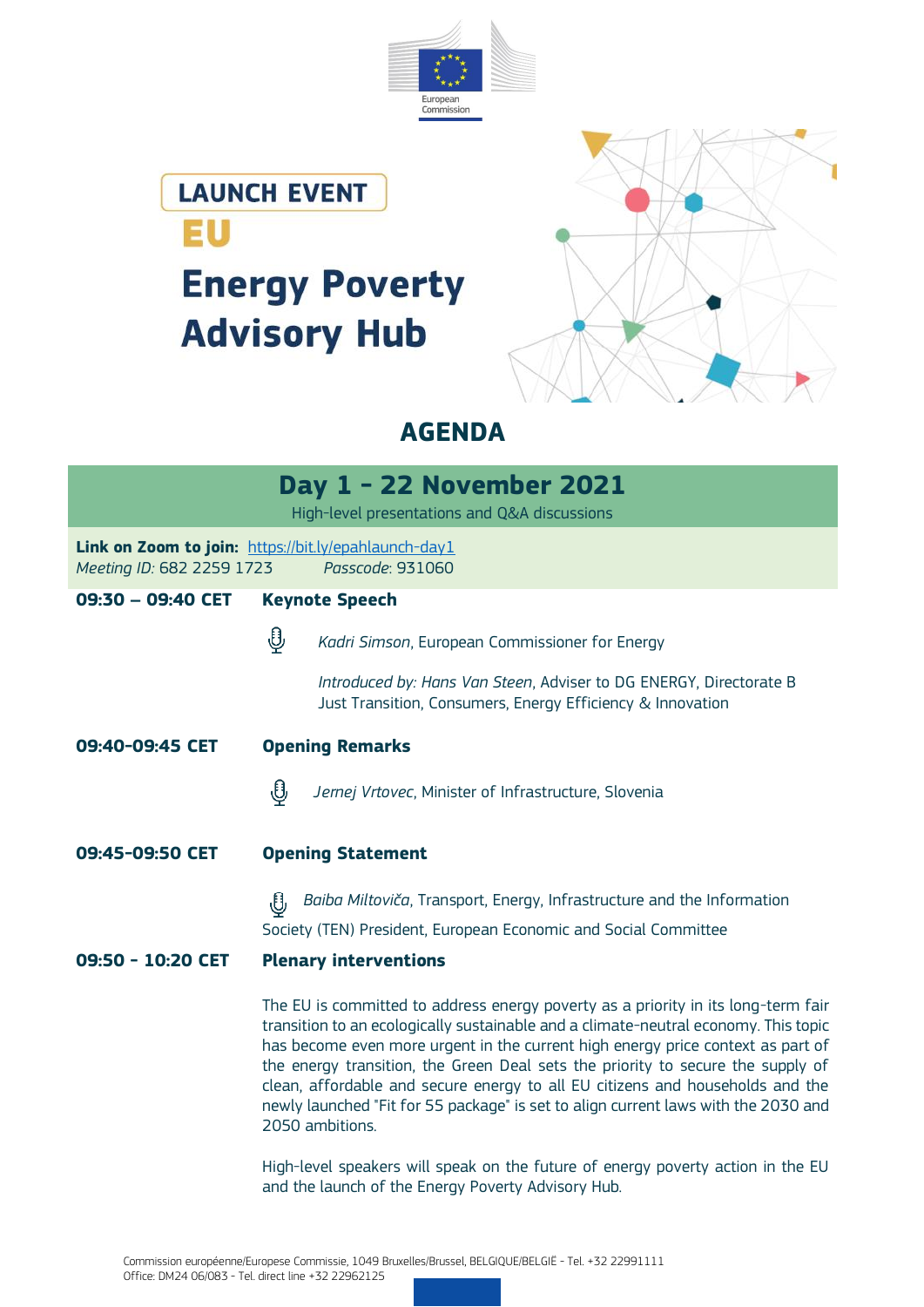





**AGENDA**

|                                                                                   |                                                                                                                                                                                                                                                                                                                                                                                                                                                                                                                                          | Day 1 - 22 November 2021<br>High-level presentations and Q&A discussions                                                              |
|-----------------------------------------------------------------------------------|------------------------------------------------------------------------------------------------------------------------------------------------------------------------------------------------------------------------------------------------------------------------------------------------------------------------------------------------------------------------------------------------------------------------------------------------------------------------------------------------------------------------------------------|---------------------------------------------------------------------------------------------------------------------------------------|
| Link on Zoom to join: https://bit.ly/epahlaunch-day1<br>Meeting ID: 682 2259 1723 |                                                                                                                                                                                                                                                                                                                                                                                                                                                                                                                                          | Passcode: 931060                                                                                                                      |
| 09:30 - 09:40 CET                                                                 |                                                                                                                                                                                                                                                                                                                                                                                                                                                                                                                                          | <b>Keynote Speech</b>                                                                                                                 |
|                                                                                   | ழி                                                                                                                                                                                                                                                                                                                                                                                                                                                                                                                                       | Kadri Simson, European Commissioner for Energy                                                                                        |
|                                                                                   |                                                                                                                                                                                                                                                                                                                                                                                                                                                                                                                                          | Introduced by: Hans Van Steen, Adviser to DG ENERGY, Directorate B<br>Just Transition, Consumers, Energy Efficiency & Innovation      |
| 09:40-09:45 CET                                                                   | <b>Opening Remarks</b>                                                                                                                                                                                                                                                                                                                                                                                                                                                                                                                   |                                                                                                                                       |
|                                                                                   | ⊕                                                                                                                                                                                                                                                                                                                                                                                                                                                                                                                                        | Jernej Vrtovec, Minister of Infrastructure, Slovenia                                                                                  |
| 09:45-09:50 CET                                                                   | <b>Opening Statement</b>                                                                                                                                                                                                                                                                                                                                                                                                                                                                                                                 |                                                                                                                                       |
|                                                                                   | ₩                                                                                                                                                                                                                                                                                                                                                                                                                                                                                                                                        | Baiba Miltoviča, Transport, Energy, Infrastructure and the Information                                                                |
|                                                                                   |                                                                                                                                                                                                                                                                                                                                                                                                                                                                                                                                          | Society (TEN) President, European Economic and Social Committee                                                                       |
| 09:50 - 10:20 CET                                                                 | <b>Plenary interventions</b>                                                                                                                                                                                                                                                                                                                                                                                                                                                                                                             |                                                                                                                                       |
|                                                                                   | The EU is committed to address energy poverty as a priority in its long-term fair<br>transition to an ecologically sustainable and a climate-neutral economy. This topic<br>has become even more urgent in the current high energy price context as part of<br>the energy transition, the Green Deal sets the priority to secure the supply of<br>clean, affordable and secure energy to all EU citizens and households and the<br>newly launched "Fit for 55 package" is set to align current laws with the 2030 and<br>2050 ambitions. |                                                                                                                                       |
|                                                                                   |                                                                                                                                                                                                                                                                                                                                                                                                                                                                                                                                          | High-level speakers will speak on the future of energy poverty action in the EU<br>and the launch of the Energy Poverty Advisory Hub. |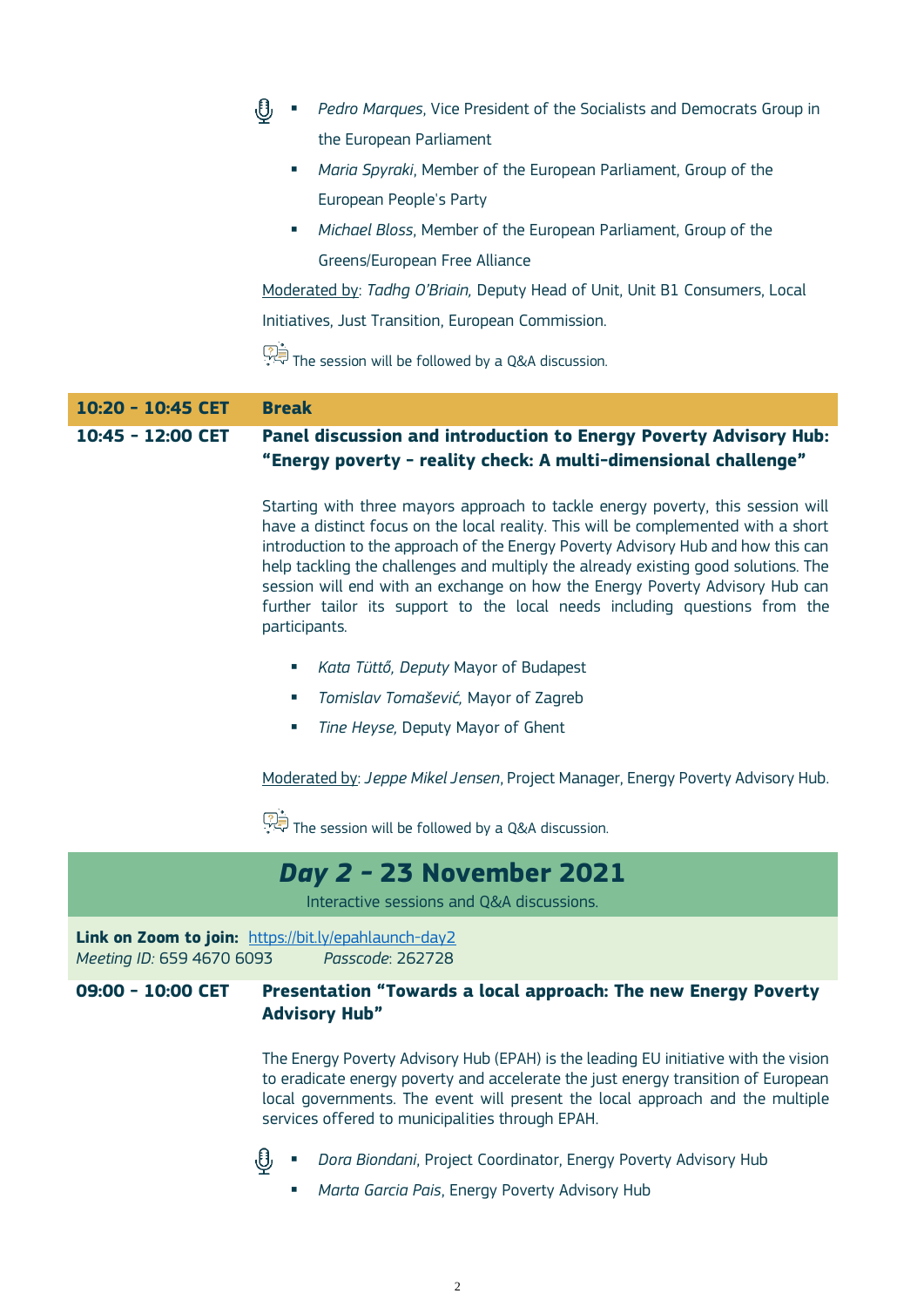| 10:45 - 12:00 CET | Panel discussion and introduction to Energy Poverty Advisory Hub:<br>"Energy poverty - reality check: A multi-dimensional challenge" |
|-------------------|--------------------------------------------------------------------------------------------------------------------------------------|
| 10:20 - 10:45 CET | <b>Break</b>                                                                                                                         |
|                   | The session will be followed by a Q&A discussion.                                                                                    |
|                   | Initiatives, Just Transition, European Commission.                                                                                   |
|                   | Moderated by: Tadhq O'Briain, Deputy Head of Unit, Unit B1 Consumers, Local                                                          |
|                   | Greens/European Free Alliance                                                                                                        |
|                   | Michael Bloss, Member of the European Parliament, Group of the<br>$\mathcal{L}_{\mathcal{A}}$                                        |
|                   | European People's Party                                                                                                              |
|                   | Maria Spyraki, Member of the European Parliament, Group of the<br>$\mathcal{L}_{\mathcal{A}}$                                        |
|                   | the European Parliament                                                                                                              |
|                   | Pedro Marques, Vice President of the Socialists and Democrats Group in                                                               |

Starting with three mayors approach to tackle energy poverty, this session will have a distinct focus on the local reality. This will be complemented with a short introduction to the approach of the Energy Poverty Advisory Hub and how this can help tackling the challenges and multiply the already existing good solutions. The session will end with an exchange on how the Energy Poverty Advisory Hub can further tailor its support to the local needs including questions from the participants.

- *Kata Tüttő, Deputy* Mayor of Budapest
- *Tomislav Tomašević,* Mayor of Zagreb
- *Tine Heyse,* Deputy Mayor of Ghent

Moderated by: *Jeppe Mikel Jensen*, Project Manager, Energy Poverty Advisory Hub.

The session will be followed by a Q&A discussion.

# *Day 2 -* **23 November 2021**

Interactive sessions and Q&A discussions.

**Link on Zoom to join:** <https://bit.ly/epahlaunch-day2> *Meeting ID:* 659 4670 6093 *Passcode*: 262728

### **09:00 - 10:00 CET Presentation "Towards a local approach: The new Energy Poverty Advisory Hub"**

The Energy Poverty Advisory Hub (EPAH) is the leading EU initiative with the vision to eradicate energy poverty and accelerate the just energy transition of European local governments. The event will present the local approach and the multiple services offered to municipalities through EPAH.



- *Dora Biondani*, Project Coordinator, Energy Poverty Advisory Hub
- *Marta Garcia Pais*, Energy Poverty Advisory Hub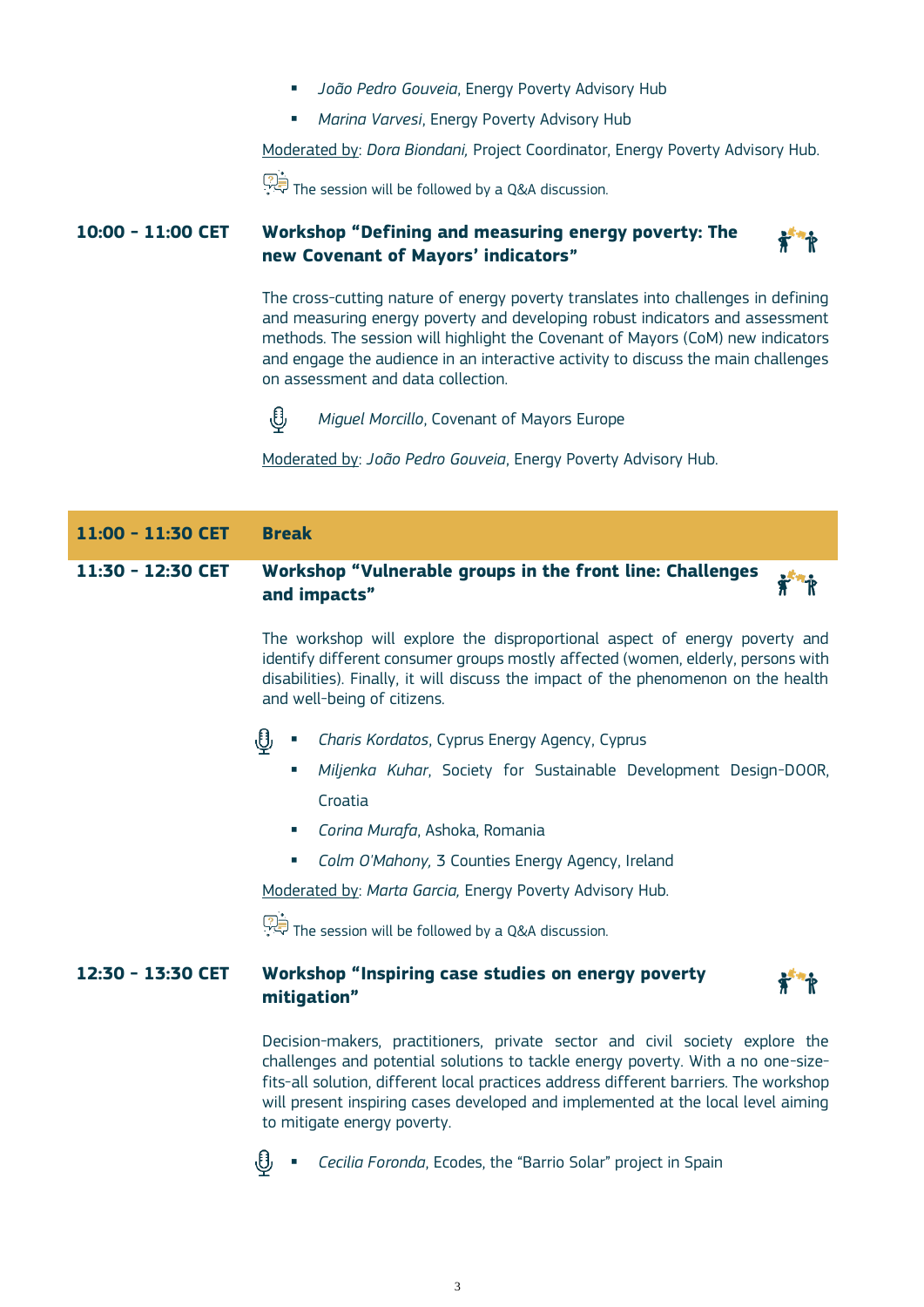- *João Pedro Gouveia*, Energy Poverty Advisory Hub
- *Marina Varvesi*, Energy Poverty Advisory Hub

Moderated by: *Dora Biondani,* Project Coordinator, Energy Poverty Advisory Hub.

The session will be followed by a Q&A discussion.

# **10:00 - 11:00 CET Workshop "Defining and measuring energy poverty: The new Covenant of Mayors' indicators"**



The cross-cutting nature of energy poverty translates into challenges in defining and measuring energy poverty and developing robust indicators and assessment methods. The session will highlight the Covenant of Mayors (CoM) new indicators and engage the audience in an interactive activity to discuss the main challenges on assessment and data collection.



*Miguel Morcillo*, Covenant of Mayors Europe

Moderated by: *João Pedro Gouveia*, Energy Poverty Advisory Hub.

| 11:00 - 11:30 CET | <b>Break</b>                                                                                                                                                                                                                                                                        |
|-------------------|-------------------------------------------------------------------------------------------------------------------------------------------------------------------------------------------------------------------------------------------------------------------------------------|
| 11:30 - 12:30 CET | Workshop "Vulnerable groups in the front line: Challenges<br>and impacts"                                                                                                                                                                                                           |
|                   | The workshop will explore the disproportional aspect of energy poverty and<br>identify different consumer groups mostly affected (women, elderly, persons with<br>disabilities). Finally, it will discuss the impact of the phenomenon on the health<br>and well-being of citizens. |
|                   | Charis Kordatos, Cyprus Energy Agency, Cyprus                                                                                                                                                                                                                                       |

- *Miljenka Kuhar*, Society for Sustainable Development Design-DOOR, Croatia
- *Corina Murafa*, Ashoka, Romania
- *Colm O'Mahony,* 3 Counties Energy Agency, Ireland

Moderated by: *Marta Garcia,* Energy Poverty Advisory Hub.

The session will be followed by a Q&A discussion.

## **12:30 - 13:30 CET Workshop "Inspiring case studies on energy poverty mitigation"**

Decision-makers, practitioners, private sector and civil society explore the challenges and potential solutions to tackle energy poverty. With a no one-sizefits-all solution, different local practices address different barriers. The workshop will present inspiring cases developed and implemented at the local level aiming to mitigate energy poverty.



*Cecilia Foronda*, Ecodes, the "Barrio Solar" project in Spain